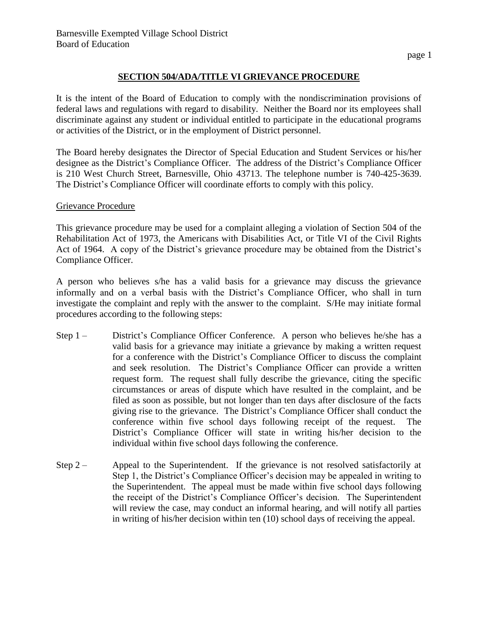## **SECTION 504/ADA/TITLE VI GRIEVANCE PROCEDURE**

It is the intent of the Board of Education to comply with the nondiscrimination provisions of federal laws and regulations with regard to disability. Neither the Board nor its employees shall discriminate against any student or individual entitled to participate in the educational programs or activities of the District, or in the employment of District personnel.

The Board hereby designates the Director of Special Education and Student Services or his/her designee as the District's Compliance Officer. The address of the District's Compliance Officer is 210 West Church Street, Barnesville, Ohio 43713. The telephone number is 740-425-3639. The District's Compliance Officer will coordinate efforts to comply with this policy.

## Grievance Procedure

This grievance procedure may be used for a complaint alleging a violation of Section 504 of the Rehabilitation Act of 1973, the Americans with Disabilities Act, or Title VI of the Civil Rights Act of 1964. A copy of the District's grievance procedure may be obtained from the District's Compliance Officer.

A person who believes s/he has a valid basis for a grievance may discuss the grievance informally and on a verbal basis with the District's Compliance Officer, who shall in turn investigate the complaint and reply with the answer to the complaint. S/He may initiate formal procedures according to the following steps:

- Step 1 District's Compliance Officer Conference. A person who believes he/she has a valid basis for a grievance may initiate a grievance by making a written request for a conference with the District's Compliance Officer to discuss the complaint and seek resolution. The District's Compliance Officer can provide a written request form. The request shall fully describe the grievance, citing the specific circumstances or areas of dispute which have resulted in the complaint, and be filed as soon as possible, but not longer than ten days after disclosure of the facts giving rise to the grievance. The District's Compliance Officer shall conduct the conference within five school days following receipt of the request. The District's Compliance Officer will state in writing his/her decision to the individual within five school days following the conference.
- Step  $2 -$  Appeal to the Superintendent. If the grievance is not resolved satisfactorily at Step 1, the District's Compliance Officer's decision may be appealed in writing to the Superintendent. The appeal must be made within five school days following the receipt of the District's Compliance Officer's decision. The Superintendent will review the case, may conduct an informal hearing, and will notify all parties in writing of his/her decision within ten (10) school days of receiving the appeal.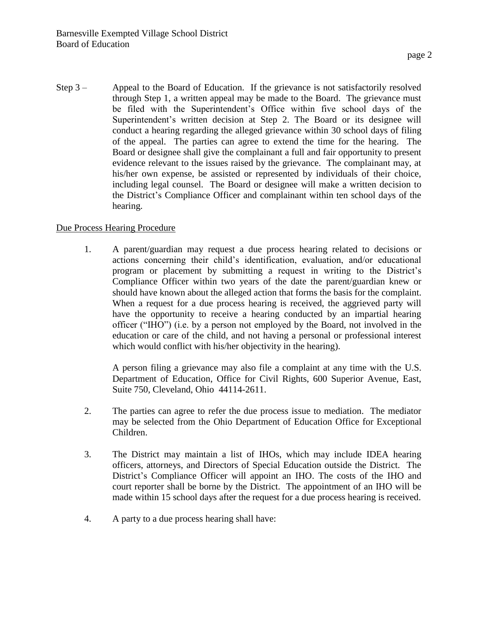Step  $3 -$  Appeal to the Board of Education. If the grievance is not satisfactorily resolved through Step 1, a written appeal may be made to the Board. The grievance must be filed with the Superintendent's Office within five school days of the Superintendent's written decision at Step 2. The Board or its designee will conduct a hearing regarding the alleged grievance within 30 school days of filing of the appeal. The parties can agree to extend the time for the hearing. The Board or designee shall give the complainant a full and fair opportunity to present evidence relevant to the issues raised by the grievance. The complainant may, at his/her own expense, be assisted or represented by individuals of their choice, including legal counsel. The Board or designee will make a written decision to the District's Compliance Officer and complainant within ten school days of the hearing.

## Due Process Hearing Procedure

1. A parent/guardian may request a due process hearing related to decisions or actions concerning their child's identification, evaluation, and/or educational program or placement by submitting a request in writing to the District's Compliance Officer within two years of the date the parent/guardian knew or should have known about the alleged action that forms the basis for the complaint. When a request for a due process hearing is received, the aggrieved party will have the opportunity to receive a hearing conducted by an impartial hearing officer ("IHO") (i.e. by a person not employed by the Board, not involved in the education or care of the child, and not having a personal or professional interest which would conflict with his/her objectivity in the hearing).

A person filing a grievance may also file a complaint at any time with the U.S. Department of Education, Office for Civil Rights, 600 Superior Avenue, East, Suite 750, Cleveland, Ohio 44114-2611.

- 2. The parties can agree to refer the due process issue to mediation. The mediator may be selected from the Ohio Department of Education Office for Exceptional Children.
- 3. The District may maintain a list of IHOs, which may include IDEA hearing officers, attorneys, and Directors of Special Education outside the District. The District's Compliance Officer will appoint an IHO. The costs of the IHO and court reporter shall be borne by the District. The appointment of an IHO will be made within 15 school days after the request for a due process hearing is received.
- 4. A party to a due process hearing shall have: